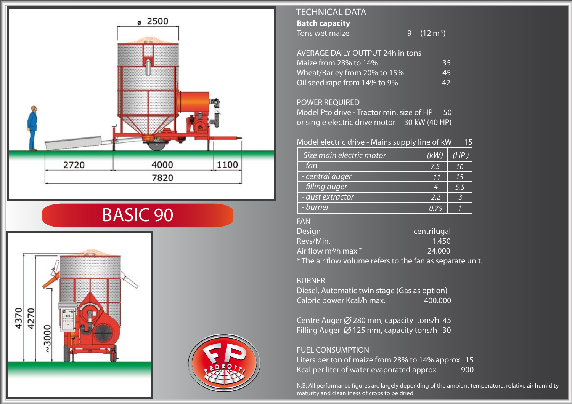

# BASIC 90



## **Batch capacity** Tons wet maize TECHNICAL DATA

9  $(12 \text{ m}^3)$ 

#### AVERAGE DAILY OUTPUT 24h in tons Maize from 28% to 14%<br>Wheat/Barley from 20% to 15% 45 Wheat/Barley from 20% to 15% Oil seed rape from 14% to 9% 42

#### POWER REQUIRED

Model Pto drive - Tractor min. size of HP 50 or single electric drive motor 30 kW (40 HP)

#### Model electric drive - Mains supply line of kW 15

| Size main electric motor | (kW) | (HP) |
|--------------------------|------|------|
| - fan                    | 7.5  | 10   |
| - central auger          | 11   | 15   |
| - filling auger          |      | 5.5  |
| - dust extractor         | 2.2  |      |
| - burner                 | 0 75 |      |

#### FAN

| Design                              | centrifugal                                               |
|-------------------------------------|-----------------------------------------------------------|
| Revs/Min.                           | 1.450                                                     |
| Air flow m <sup>3</sup> /h max $^*$ | 24,000                                                    |
|                                     | * The air flow volume refers to the fan as separate unit. |

#### BURNER

Diesel, Automatic twin stage (Gas as option) Caloric power Kcal/h max. 400.000

Centre Auger  $\emptyset$  280 mm, capacity tons/h 45 Filling Auger  $\varnothing$  125 mm, capacity tons/h 30

### FUEL CONSUMPTION Liters per ton of maize from 28% to 14% approx 15 Kcal per liter of water evaporated approx 900

N.B: All performance figures are largely depending of the ambient temperature, relative air humidity, maturity and cleanliness of crops to be dried